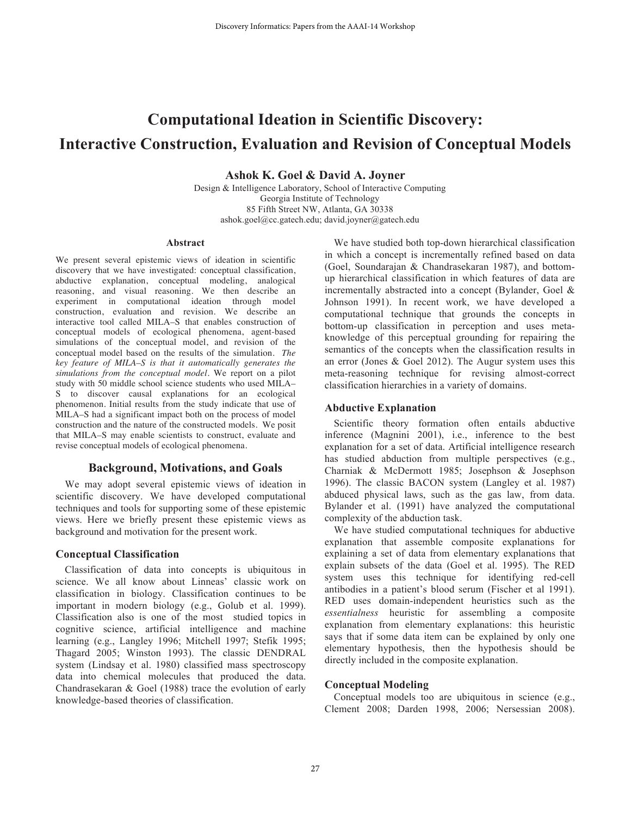# **Computational Ideation in Scientific Discovery: Interactive Construction, Evaluation and Revision of Conceptual Models**

**Ashok K. Goel & David A. Joyner**

Design & Intelligence Laboratory, School of Interactive Computing Georgia Institute of Technology 85 Fifth Street NW, Atlanta, GA 30338 ashok.goel@cc.gatech.edu; david.joyner@gatech.edu

#### **Abstract**

We present several epistemic views of ideation in scientific discovery that we have investigated: conceptual classification, abductive explanation, conceptual modeling, analogical reasoning, and visual reasoning. We then describe an experiment in computational ideation through model construction, evaluation and revision. We describe an interactive tool called MILA–S that enables construction of conceptual models of ecological phenomena, agent-based simulations of the conceptual model, and revision of the conceptual model based on the results of the simulation. *The key feature of MILA–S is that it automatically generates the simulations from the conceptual model.* We report on a pilot study with 50 middle school science students who used MILA– S to discover causal explanations for an ecological phenomenon. Initial results from the study indicate that use of MILA–S had a significant impact both on the process of model construction and the nature of the constructed models. We posit that MILA–S may enable scientists to construct, evaluate and revise conceptual models of ecological phenomena.

## **Background, Motivations, and Goals**

We may adopt several epistemic views of ideation in scientific discovery. We have developed computational techniques and tools for supporting some of these epistemic views. Here we briefly present these epistemic views as background and motivation for the present work.

## **Conceptual Classification**

Classification of data into concepts is ubiquitous in science. We all know about Linneas' classic work on classification in biology. Classification continues to be important in modern biology (e.g., Golub et al. 1999). Classification also is one of the most studied topics in cognitive science, artificial intelligence and machine learning (e.g., Langley 1996; Mitchell 1997; Stefik 1995; Thagard 2005; Winston 1993). The classic DENDRAL system (Lindsay et al. 1980) classified mass spectroscopy data into chemical molecules that produced the data. Chandrasekaran & Goel (1988) trace the evolution of early knowledge-based theories of classification.

We have studied both top-down hierarchical classification in which a concept is incrementally refined based on data (Goel, Soundarajan & Chandrasekaran 1987), and bottomup hierarchical classification in which features of data are incrementally abstracted into a concept (Bylander, Goel & Johnson 1991). In recent work, we have developed a computational technique that grounds the concepts in bottom-up classification in perception and uses metaknowledge of this perceptual grounding for repairing the semantics of the concepts when the classification results in an error (Jones & Goel 2012). The Augur system uses this meta-reasoning technique for revising almost-correct classification hierarchies in a variety of domains.

## **Abductive Explanation**

Scientific theory formation often entails abductive inference (Magnini 2001), i.e., inference to the best explanation for a set of data. Artificial intelligence research has studied abduction from multiple perspectives (e.g., Charniak & McDermott 1985; Josephson & Josephson 1996). The classic BACON system (Langley et al. 1987) abduced physical laws, such as the gas law, from data. Bylander et al. (1991) have analyzed the computational complexity of the abduction task.

We have studied computational techniques for abductive explanation that assemble composite explanations for explaining a set of data from elementary explanations that explain subsets of the data (Goel et al. 1995). The RED system uses this technique for identifying red-cell antibodies in a patient's blood serum (Fischer et al 1991). RED uses domain-independent heuristics such as the *essentialness* heuristic for assembling a composite explanation from elementary explanations: this heuristic says that if some data item can be explained by only one elementary hypothesis, then the hypothesis should be directly included in the composite explanation.

## **Conceptual Modeling**

Conceptual models too are ubiquitous in science (e.g., Clement 2008; Darden 1998, 2006; Nersessian 2008).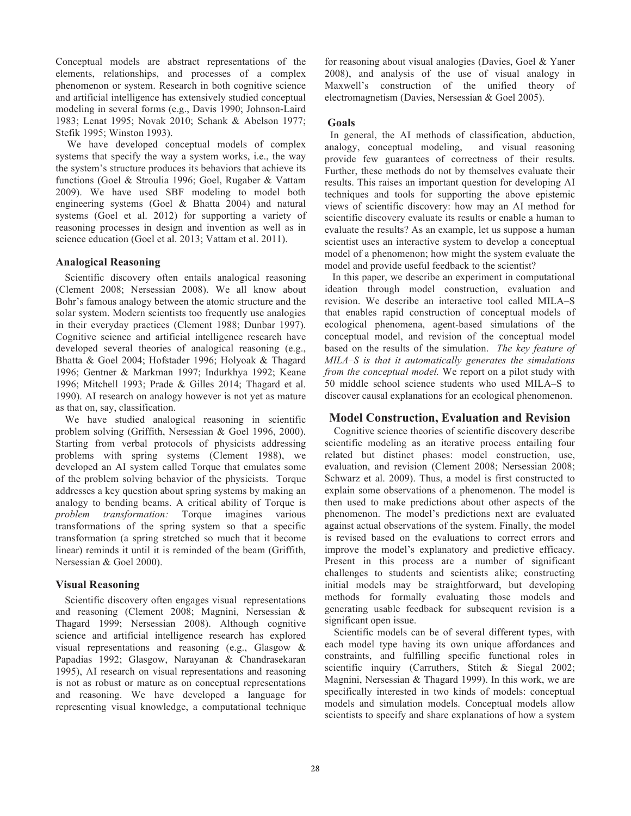Conceptual models are abstract representations of the elements, relationships, and processes of a complex phenomenon or system. Research in both cognitive science and artificial intelligence has extensively studied conceptual modeling in several forms (e.g., Davis 1990; Johnson-Laird 1983; Lenat 1995; Novak 2010; Schank & Abelson 1977; Stefik 1995; Winston 1993).

We have developed conceptual models of complex systems that specify the way a system works, i.e., the way the system's structure produces its behaviors that achieve its functions (Goel & Stroulia 1996; Goel, Rugaber & Vattam 2009). We have used SBF modeling to model both engineering systems (Goel & Bhatta 2004) and natural systems (Goel et al. 2012) for supporting a variety of reasoning processes in design and invention as well as in science education (Goel et al. 2013; Vattam et al. 2011).

# **Analogical Reasoning**

Scientific discovery often entails analogical reasoning (Clement 2008; Nersessian 2008). We all know about Bohr's famous analogy between the atomic structure and the solar system. Modern scientists too frequently use analogies in their everyday practices (Clement 1988; Dunbar 1997). Cognitive science and artificial intelligence research have developed several theories of analogical reasoning (e.g., Bhatta & Goel 2004; Hofstader 1996; Holyoak & Thagard 1996; Gentner & Markman 1997; Indurkhya 1992; Keane 1996; Mitchell 1993; Prade & Gilles 2014; Thagard et al. 1990). AI research on analogy however is not yet as mature as that on, say, classification.

We have studied analogical reasoning in scientific problem solving (Griffith, Nersessian & Goel 1996, 2000). Starting from verbal protocols of physicists addressing problems with spring systems (Clement 1988), we developed an AI system called Torque that emulates some of the problem solving behavior of the physicists. Torque addresses a key question about spring systems by making an analogy to bending beams. A critical ability of Torque is *problem transformation:* Torque imagines various transformations of the spring system so that a specific transformation (a spring stretched so much that it become linear) reminds it until it is reminded of the beam (Griffith, Nersessian & Goel 2000).

# **Visual Reasoning**

Scientific discovery often engages visual representations and reasoning (Clement 2008; Magnini, Nersessian & Thagard 1999; Nersessian 2008). Although cognitive science and artificial intelligence research has explored visual representations and reasoning (e.g., Glasgow & Papadias 1992; Glasgow, Narayanan & Chandrasekaran 1995), AI research on visual representations and reasoning is not as robust or mature as on conceptual representations and reasoning. We have developed a language for representing visual knowledge, a computational technique for reasoning about visual analogies (Davies, Goel & Yaner 2008), and analysis of the use of visual analogy in Maxwell's construction of the unified theory of electromagnetism (Davies, Nersessian & Goel 2005).

# **Goals**

In general, the AI methods of classification, abduction, analogy, conceptual modeling, and visual reasoning provide few guarantees of correctness of their results. Further, these methods do not by themselves evaluate their results. This raises an important question for developing AI techniques and tools for supporting the above epistemic views of scientific discovery: how may an AI method for scientific discovery evaluate its results or enable a human to evaluate the results? As an example, let us suppose a human scientist uses an interactive system to develop a conceptual model of a phenomenon; how might the system evaluate the model and provide useful feedback to the scientist?

 In this paper, we describe an experiment in computational ideation through model construction, evaluation and revision. We describe an interactive tool called MILA–S that enables rapid construction of conceptual models of ecological phenomena, agent-based simulations of the conceptual model, and revision of the conceptual model based on the results of the simulation. *The key feature of MILA–S is that it automatically generates the simulations from the conceptual model.* We report on a pilot study with 50 middle school science students who used MILA–S to discover causal explanations for an ecological phenomenon.

# **Model Construction, Evaluation and Revision**

Cognitive science theories of scientific discovery describe scientific modeling as an iterative process entailing four related but distinct phases: model construction, use, evaluation, and revision (Clement 2008; Nersessian 2008; Schwarz et al. 2009). Thus, a model is first constructed to explain some observations of a phenomenon. The model is then used to make predictions about other aspects of the phenomenon. The model's predictions next are evaluated against actual observations of the system. Finally, the model is revised based on the evaluations to correct errors and improve the model's explanatory and predictive efficacy. Present in this process are a number of significant challenges to students and scientists alike; constructing initial models may be straightforward, but developing methods for formally evaluating those models and generating usable feedback for subsequent revision is a significant open issue.

Scientific models can be of several different types, with each model type having its own unique affordances and constraints, and fulfilling specific functional roles in scientific inquiry (Carruthers, Stitch & Siegal 2002; Magnini, Nersessian & Thagard 1999). In this work, we are specifically interested in two kinds of models: conceptual models and simulation models. Conceptual models allow scientists to specify and share explanations of how a system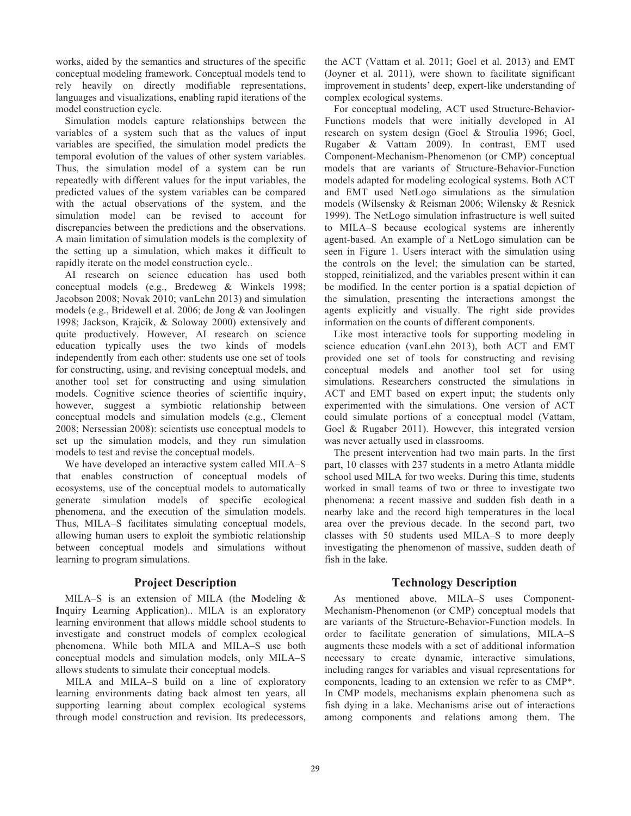works, aided by the semantics and structures of the specific conceptual modeling framework. Conceptual models tend to rely heavily on directly modifiable representations, languages and visualizations, enabling rapid iterations of the model construction cycle.

Simulation models capture relationships between the variables of a system such that as the values of input variables are specified, the simulation model predicts the temporal evolution of the values of other system variables. Thus, the simulation model of a system can be run repeatedly with different values for the input variables, the predicted values of the system variables can be compared with the actual observations of the system, and the simulation model can be revised to account for discrepancies between the predictions and the observations. A main limitation of simulation models is the complexity of the setting up a simulation, which makes it difficult to rapidly iterate on the model construction cycle..

AI research on science education has used both conceptual models (e.g., Bredeweg & Winkels 1998; Jacobson 2008; Novak 2010; vanLehn 2013) and simulation models (e.g., Bridewell et al. 2006; de Jong & van Joolingen 1998; Jackson, Krajcik, & Soloway 2000) extensively and quite productively. However, AI research on science education typically uses the two kinds of models independently from each other: students use one set of tools for constructing, using, and revising conceptual models, and another tool set for constructing and using simulation models. Cognitive science theories of scientific inquiry, however, suggest a symbiotic relationship between conceptual models and simulation models (e.g., Clement 2008; Nersessian 2008): scientists use conceptual models to set up the simulation models, and they run simulation models to test and revise the conceptual models.

We have developed an interactive system called MILA–S that enables construction of conceptual models of ecosystems, use of the conceptual models to automatically generate simulation models of specific ecological phenomena, and the execution of the simulation models. Thus, MILA–S facilitates simulating conceptual models, allowing human users to exploit the symbiotic relationship between conceptual models and simulations without learning to program simulations.

# **Project Description**

MILA–S is an extension of MILA (the **M**odeling & **I**nquiry **L**earning **A**pplication).. MILA is an exploratory learning environment that allows middle school students to investigate and construct models of complex ecological phenomena. While both MILA and MILA–S use both conceptual models and simulation models, only MILA–S allows students to simulate their conceptual models.

 MILA and MILA–S build on a line of exploratory learning environments dating back almost ten years, all supporting learning about complex ecological systems through model construction and revision. Its predecessors, the ACT (Vattam et al. 2011; Goel et al. 2013) and EMT (Joyner et al. 2011), were shown to facilitate significant improvement in students' deep, expert-like understanding of complex ecological systems.

For conceptual modeling, ACT used Structure-Behavior-Functions models that were initially developed in AI research on system design (Goel & Stroulia 1996; Goel, Rugaber & Vattam 2009). In contrast, EMT used Component-Mechanism-Phenomenon (or CMP) conceptual models that are variants of Structure-Behavior-Function models adapted for modeling ecological systems. Both ACT and EMT used NetLogo simulations as the simulation models (Wilsensky & Reisman 2006; Wilensky & Resnick 1999). The NetLogo simulation infrastructure is well suited to MILA–S because ecological systems are inherently agent-based. An example of a NetLogo simulation can be seen in Figure 1. Users interact with the simulation using the controls on the level; the simulation can be started, stopped, reinitialized, and the variables present within it can be modified. In the center portion is a spatial depiction of the simulation, presenting the interactions amongst the agents explicitly and visually. The right side provides information on the counts of different components.

Like most interactive tools for supporting modeling in science education (vanLehn 2013), both ACT and EMT provided one set of tools for constructing and revising conceptual models and another tool set for using simulations. Researchers constructed the simulations in ACT and EMT based on expert input; the students only experimented with the simulations. One version of ACT could simulate portions of a conceptual model (Vattam, Goel & Rugaber 2011). However, this integrated version was never actually used in classrooms.

The present intervention had two main parts. In the first part, 10 classes with 237 students in a metro Atlanta middle school used MILA for two weeks. During this time, students worked in small teams of two or three to investigate two phenomena: a recent massive and sudden fish death in a nearby lake and the record high temperatures in the local area over the previous decade. In the second part, two classes with 50 students used MILA–S to more deeply investigating the phenomenon of massive, sudden death of fish in the lake.

# **Technology Description**

As mentioned above, MILA–S uses Component-Mechanism-Phenomenon (or CMP) conceptual models that are variants of the Structure-Behavior-Function models. In order to facilitate generation of simulations, MILA–S augments these models with a set of additional information necessary to create dynamic, interactive simulations, including ranges for variables and visual representations for components, leading to an extension we refer to as CMP\*. In CMP models, mechanisms explain phenomena such as fish dying in a lake. Mechanisms arise out of interactions among components and relations among them. The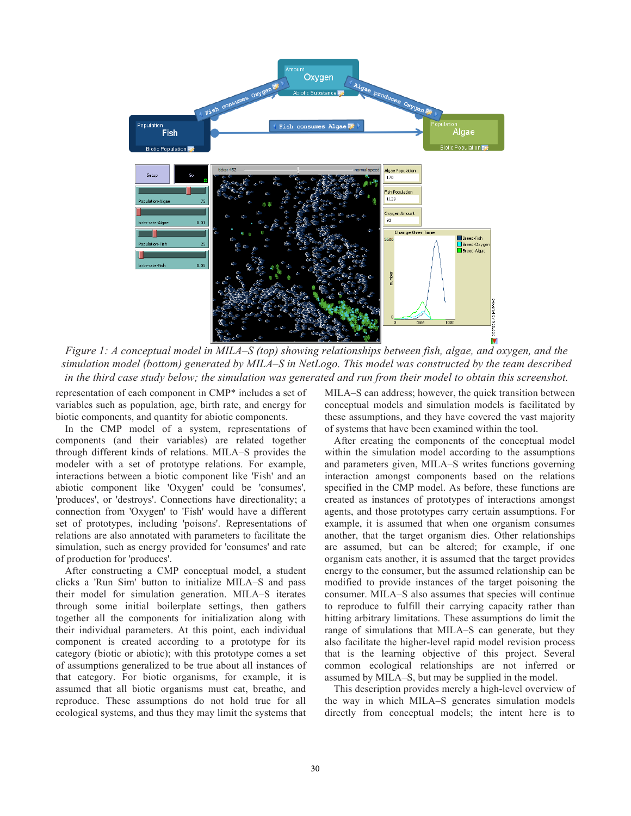

*Figure 1: A conceptual model in MILA–S (top) showing relationships between fish, algae, and oxygen, and the simulation model (bottom) generated by MILA–S in NetLogo. This model was constructed by the team described in the third case study below; the simulation was generated and run from their model to obtain this screenshot.*

representation of each component in CMP\* includes a set of variables such as population, age, birth rate, and energy for biotic components, and quantity for abiotic components.

In the CMP model of a system, representations of components (and their variables) are related together through different kinds of relations. MILA–S provides the modeler with a set of prototype relations. For example, interactions between a biotic component like 'Fish' and an abiotic component like 'Oxygen' could be 'consumes', 'produces', or 'destroys'. Connections have directionality; a connection from 'Oxygen' to 'Fish' would have a different set of prototypes, including 'poisons'. Representations of relations are also annotated with parameters to facilitate the simulation, such as energy provided for 'consumes' and rate of production for 'produces'.

After constructing a CMP conceptual model, a student clicks a 'Run Sim' button to initialize MILA–S and pass their model for simulation generation. MILA–S iterates through some initial boilerplate settings, then gathers together all the components for initialization along with their individual parameters. At this point, each individual component is created according to a prototype for its category (biotic or abiotic); with this prototype comes a set of assumptions generalized to be true about all instances of that category. For biotic organisms, for example, it is assumed that all biotic organisms must eat, breathe, and reproduce. These assumptions do not hold true for all ecological systems, and thus they may limit the systems that

MILA–S can address; however, the quick transition between conceptual models and simulation models is facilitated by these assumptions, and they have covered the vast majority of systems that have been examined within the tool.

After creating the components of the conceptual model within the simulation model according to the assumptions and parameters given, MILA–S writes functions governing interaction amongst components based on the relations specified in the CMP model. As before, these functions are created as instances of prototypes of interactions amongst agents, and those prototypes carry certain assumptions. For example, it is assumed that when one organism consumes another, that the target organism dies. Other relationships are assumed, but can be altered; for example, if one organism eats another, it is assumed that the target provides energy to the consumer, but the assumed relationship can be modified to provide instances of the target poisoning the consumer. MILA–S also assumes that species will continue to reproduce to fulfill their carrying capacity rather than hitting arbitrary limitations. These assumptions do limit the range of simulations that MILA–S can generate, but they also facilitate the higher-level rapid model revision process that is the learning objective of this project. Several common ecological relationships are not inferred or assumed by MILA–S, but may be supplied in the model.

This description provides merely a high-level overview of the way in which MILA–S generates simulation models directly from conceptual models; the intent here is to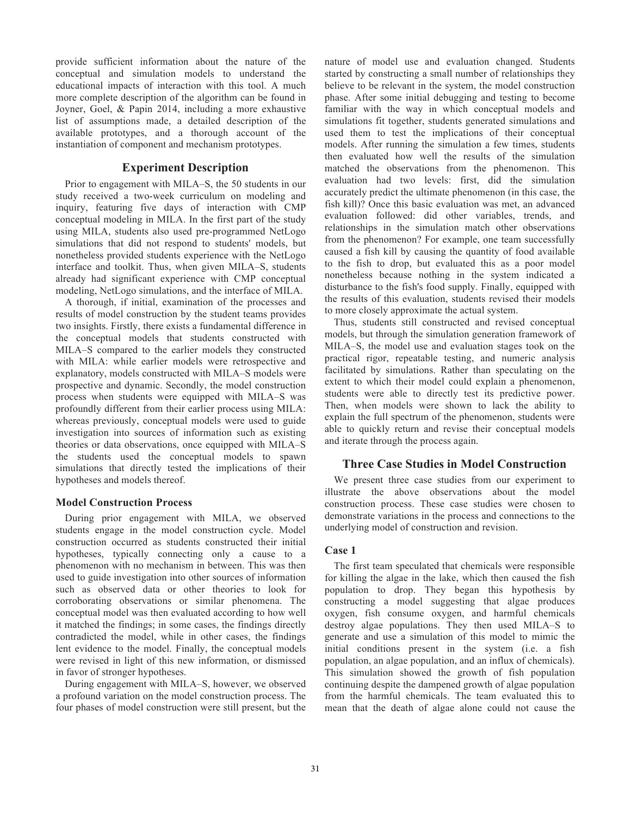provide sufficient information about the nature of the conceptual and simulation models to understand the educational impacts of interaction with this tool. A much more complete description of the algorithm can be found in Joyner, Goel, & Papin 2014, including a more exhaustive list of assumptions made, a detailed description of the available prototypes, and a thorough account of the instantiation of component and mechanism prototypes.

## **Experiment Description**

Prior to engagement with MILA–S, the 50 students in our study received a two-week curriculum on modeling and inquiry, featuring five days of interaction with CMP conceptual modeling in MILA. In the first part of the study using MILA, students also used pre-programmed NetLogo simulations that did not respond to students' models, but nonetheless provided students experience with the NetLogo interface and toolkit. Thus, when given MILA–S, students already had significant experience with CMP conceptual modeling, NetLogo simulations, and the interface of MILA.

A thorough, if initial, examination of the processes and results of model construction by the student teams provides two insights. Firstly, there exists a fundamental difference in the conceptual models that students constructed with MILA–S compared to the earlier models they constructed with MILA: while earlier models were retrospective and explanatory, models constructed with MILA–S models were prospective and dynamic. Secondly, the model construction process when students were equipped with MILA–S was profoundly different from their earlier process using MILA: whereas previously, conceptual models were used to guide investigation into sources of information such as existing theories or data observations, once equipped with MILA–S the students used the conceptual models to spawn simulations that directly tested the implications of their hypotheses and models thereof.

## **Model Construction Process**

During prior engagement with MILA, we observed students engage in the model construction cycle. Model construction occurred as students constructed their initial hypotheses, typically connecting only a cause to a phenomenon with no mechanism in between. This was then used to guide investigation into other sources of information such as observed data or other theories to look for corroborating observations or similar phenomena. The conceptual model was then evaluated according to how well it matched the findings; in some cases, the findings directly contradicted the model, while in other cases, the findings lent evidence to the model. Finally, the conceptual models were revised in light of this new information, or dismissed in favor of stronger hypotheses.

During engagement with MILA–S, however, we observed a profound variation on the model construction process. The four phases of model construction were still present, but the nature of model use and evaluation changed. Students started by constructing a small number of relationships they believe to be relevant in the system, the model construction phase. After some initial debugging and testing to become familiar with the way in which conceptual models and simulations fit together, students generated simulations and used them to test the implications of their conceptual models. After running the simulation a few times, students then evaluated how well the results of the simulation matched the observations from the phenomenon. This evaluation had two levels: first, did the simulation accurately predict the ultimate phenomenon (in this case, the fish kill)? Once this basic evaluation was met, an advanced evaluation followed: did other variables, trends, and relationships in the simulation match other observations from the phenomenon? For example, one team successfully caused a fish kill by causing the quantity of food available to the fish to drop, but evaluated this as a poor model nonetheless because nothing in the system indicated a disturbance to the fish's food supply. Finally, equipped with the results of this evaluation, students revised their models to more closely approximate the actual system.

Thus, students still constructed and revised conceptual models, but through the simulation generation framework of MILA–S, the model use and evaluation stages took on the practical rigor, repeatable testing, and numeric analysis facilitated by simulations. Rather than speculating on the extent to which their model could explain a phenomenon, students were able to directly test its predictive power. Then, when models were shown to lack the ability to explain the full spectrum of the phenomenon, students were able to quickly return and revise their conceptual models and iterate through the process again.

# **Three Case Studies in Model Construction**

We present three case studies from our experiment to illustrate the above observations about the model construction process. These case studies were chosen to demonstrate variations in the process and connections to the underlying model of construction and revision.

# **Case 1**

The first team speculated that chemicals were responsible for killing the algae in the lake, which then caused the fish population to drop. They began this hypothesis by constructing a model suggesting that algae produces oxygen, fish consume oxygen, and harmful chemicals destroy algae populations. They then used MILA–S to generate and use a simulation of this model to mimic the initial conditions present in the system (i.e. a fish population, an algae population, and an influx of chemicals). This simulation showed the growth of fish population continuing despite the dampened growth of algae population from the harmful chemicals. The team evaluated this to mean that the death of algae alone could not cause the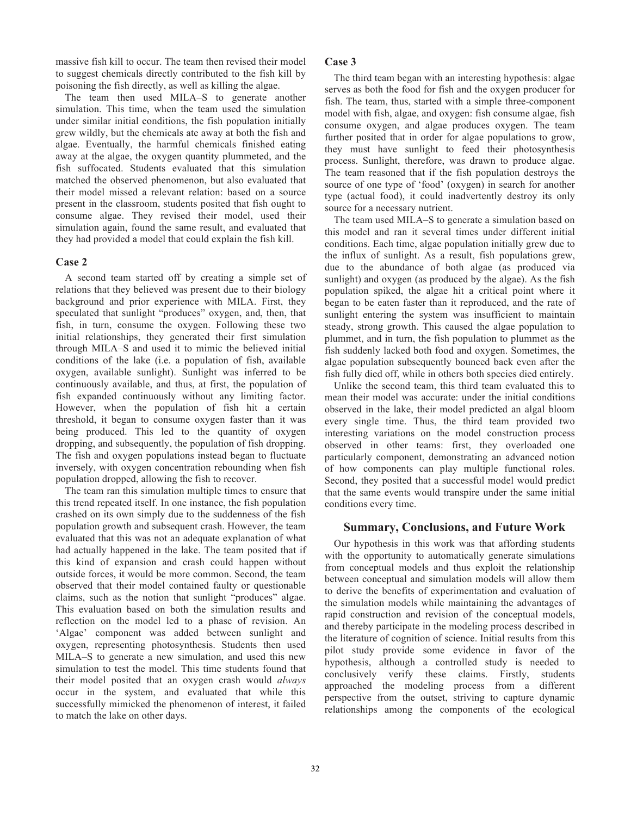massive fish kill to occur. The team then revised their model to suggest chemicals directly contributed to the fish kill by poisoning the fish directly, as well as killing the algae.

The team then used MILA–S to generate another simulation. This time, when the team used the simulation under similar initial conditions, the fish population initially grew wildly, but the chemicals ate away at both the fish and algae. Eventually, the harmful chemicals finished eating away at the algae, the oxygen quantity plummeted, and the fish suffocated. Students evaluated that this simulation matched the observed phenomenon, but also evaluated that their model missed a relevant relation: based on a source present in the classroom, students posited that fish ought to consume algae. They revised their model, used their simulation again, found the same result, and evaluated that they had provided a model that could explain the fish kill.

# **Case 2**

A second team started off by creating a simple set of relations that they believed was present due to their biology background and prior experience with MILA. First, they speculated that sunlight "produces" oxygen, and, then, that fish, in turn, consume the oxygen. Following these two initial relationships, they generated their first simulation through MILA–S and used it to mimic the believed initial conditions of the lake (i.e. a population of fish, available oxygen, available sunlight). Sunlight was inferred to be continuously available, and thus, at first, the population of fish expanded continuously without any limiting factor. However, when the population of fish hit a certain threshold, it began to consume oxygen faster than it was being produced. This led to the quantity of oxygen dropping, and subsequently, the population of fish dropping. The fish and oxygen populations instead began to fluctuate inversely, with oxygen concentration rebounding when fish population dropped, allowing the fish to recover.

The team ran this simulation multiple times to ensure that this trend repeated itself. In one instance, the fish population crashed on its own simply due to the suddenness of the fish population growth and subsequent crash. However, the team evaluated that this was not an adequate explanation of what had actually happened in the lake. The team posited that if this kind of expansion and crash could happen without outside forces, it would be more common. Second, the team observed that their model contained faulty or questionable claims, such as the notion that sunlight "produces" algae. This evaluation based on both the simulation results and reflection on the model led to a phase of revision. An 'Algae' component was added between sunlight and oxygen, representing photosynthesis. Students then used MILA–S to generate a new simulation, and used this new simulation to test the model. This time students found that their model posited that an oxygen crash would *always* occur in the system, and evaluated that while this successfully mimicked the phenomenon of interest, it failed to match the lake on other days.

# **Case 3**

The third team began with an interesting hypothesis: algae serves as both the food for fish and the oxygen producer for fish. The team, thus, started with a simple three-component model with fish, algae, and oxygen: fish consume algae, fish consume oxygen, and algae produces oxygen. The team further posited that in order for algae populations to grow, they must have sunlight to feed their photosynthesis process. Sunlight, therefore, was drawn to produce algae. The team reasoned that if the fish population destroys the source of one type of 'food' (oxygen) in search for another type (actual food), it could inadvertently destroy its only source for a necessary nutrient.

The team used MILA–S to generate a simulation based on this model and ran it several times under different initial conditions. Each time, algae population initially grew due to the influx of sunlight. As a result, fish populations grew, due to the abundance of both algae (as produced via sunlight) and oxygen (as produced by the algae). As the fish population spiked, the algae hit a critical point where it began to be eaten faster than it reproduced, and the rate of sunlight entering the system was insufficient to maintain steady, strong growth. This caused the algae population to plummet, and in turn, the fish population to plummet as the fish suddenly lacked both food and oxygen. Sometimes, the algae population subsequently bounced back even after the fish fully died off, while in others both species died entirely.

Unlike the second team, this third team evaluated this to mean their model was accurate: under the initial conditions observed in the lake, their model predicted an algal bloom every single time. Thus, the third team provided two interesting variations on the model construction process observed in other teams: first, they overloaded one particularly component, demonstrating an advanced notion of how components can play multiple functional roles. Second, they posited that a successful model would predict that the same events would transpire under the same initial conditions every time.

# **Summary, Conclusions, and Future Work**

Our hypothesis in this work was that affording students with the opportunity to automatically generate simulations from conceptual models and thus exploit the relationship between conceptual and simulation models will allow them to derive the benefits of experimentation and evaluation of the simulation models while maintaining the advantages of rapid construction and revision of the conceptual models, and thereby participate in the modeling process described in the literature of cognition of science. Initial results from this pilot study provide some evidence in favor of the hypothesis, although a controlled study is needed to conclusively verify these claims. Firstly, students approached the modeling process from a different perspective from the outset, striving to capture dynamic relationships among the components of the ecological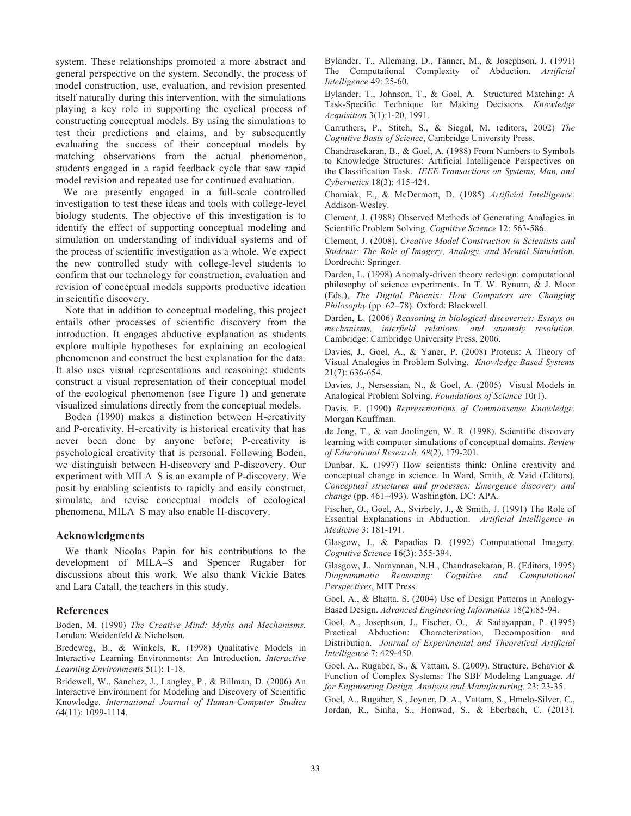system. These relationships promoted a more abstract and general perspective on the system. Secondly, the process of model construction, use, evaluation, and revision presented itself naturally during this intervention, with the simulations playing a key role in supporting the cyclical process of constructing conceptual models. By using the simulations to test their predictions and claims, and by subsequently evaluating the success of their conceptual models by matching observations from the actual phenomenon, students engaged in a rapid feedback cycle that saw rapid model revision and repeated use for continued evaluation.

 We are presently engaged in a full-scale controlled investigation to test these ideas and tools with college-level biology students. The objective of this investigation is to identify the effect of supporting conceptual modeling and simulation on understanding of individual systems and of the process of scientific investigation as a whole. We expect the new controlled study with college-level students to confirm that our technology for construction, evaluation and revision of conceptual models supports productive ideation in scientific discovery.

Note that in addition to conceptual modeling, this project entails other processes of scientific discovery from the introduction. It engages abductive explanation as students explore multiple hypotheses for explaining an ecological phenomenon and construct the best explanation for the data. It also uses visual representations and reasoning: students construct a visual representation of their conceptual model of the ecological phenomenon (see Figure 1) and generate visualized simulations directly from the conceptual models.

Boden (1990) makes a distinction between H-creativity and P-creativity. H-creativity is historical creativity that has never been done by anyone before; P-creativity is psychological creativity that is personal. Following Boden, we distinguish between H-discovery and P-discovery. Our experiment with MILA–S is an example of P-discovery. We posit by enabling scientists to rapidly and easily construct, simulate, and revise conceptual models of ecological phenomena, MILA–S may also enable H-discovery.

## **Acknowledgments**

We thank Nicolas Papin for his contributions to the development of MILA–S and Spencer Rugaber for discussions about this work. We also thank Vickie Bates and Lara Catall, the teachers in this study.

### **References**

Boden, M. (1990) *The Creative Mind: Myths and Mechanisms.*  London: Weidenfeld & Nicholson.

Bredeweg, B., & Winkels, R. (1998) Qualitative Models in Interactive Learning Environments: An Introduction. *Interactive Learning Environments* 5(1): 1-18.

Bridewell, W., Sanchez, J., Langley, P., & Billman, D. (2006) An Interactive Environment for Modeling and Discovery of Scientific Knowledge. *International Journal of Human-Computer Studies* 64(11): 1099-1114.

Bylander, T., Allemang, D., Tanner, M., & Josephson, J. (1991) The Computational Complexity of Abduction. *Artificial Intelligence* 49: 25-60.

Bylander, T., Johnson, T., & Goel, A. Structured Matching: A Task-Specific Technique for Making Decisions. *Knowledge Acquisition* 3(1):1-20, 1991.

Carruthers, P., Stitch, S., & Siegal, M. (editors, 2002) *The Cognitive Basis of Science*, Cambridge University Press.

Chandrasekaran, B., & Goel, A. (1988) From Numbers to Symbols to Knowledge Structures: Artificial Intelligence Perspectives on the Classification Task. *IEEE Transactions on Systems, Man, and Cybernetics* 18(3): 415-424.

Charniak, E., & McDermott, D. (1985) *Artificial Intelligence.* Addison-Wesley.

Clement, J. (1988) Observed Methods of Generating Analogies in Scientific Problem Solving. *Cognitive Science* 12: 563-586.

Clement, J. (2008). *Creative Model Construction in Scientists and Students: The Role of Imagery, Analogy, and Mental Simulation*. Dordrecht: Springer.

Darden, L. (1998) Anomaly-driven theory redesign: computational philosophy of science experiments. In T. W. Bynum, & J. Moor (Eds.), *The Digital Phoenix: How Computers are Changing Philosophy* (pp. 62–78). Oxford: Blackwell.

Darden, L. (2006) *Reasoning in biological discoveries: Essays on mechanisms, interfield relations, and anomaly resolution.* Cambridge: Cambridge University Press, 2006.

Davies, J., Goel, A., & Yaner, P. (2008) Proteus: A Theory of Visual Analogies in Problem Solving. *Knowledge-Based Systems* 21(7): 636-654.

Davies, J., Nersessian, N., & Goel, A. (2005) Visual Models in Analogical Problem Solving. *Foundations of Science* 10(1).

Davis, E. (1990) *Representations of Commonsense Knowledge.* Morgan Kauffman.

de Jong, T., & van Joolingen, W. R. (1998). Scientific discovery learning with computer simulations of conceptual domains. *Review of Educational Research, 68*(2), 179-201.

Dunbar, K. (1997) How scientists think: Online creativity and conceptual change in science. In Ward, Smith, & Vaid (Editors), *Conceptual structures and processes: Emergence discovery and change* (pp. 461–493). Washington, DC: APA.

Fischer, O., Goel, A., Svirbely, J., & Smith, J. (1991) The Role of Essential Explanations in Abduction. *Artificial Intelligence in Medicine* 3: 181-191.

Glasgow, J., & Papadias D. (1992) Computational Imagery. *Cognitive Science* 16(3): 355-394.

Glasgow, J., Narayanan, N.H., Chandrasekaran, B. (Editors, 1995) *Diagrammatic Reasoning: Cognitive and Computational Perspectives*, MIT Press.

Goel, A., & Bhatta, S. (2004) Use of Design Patterns in Analogy-Based Design. *Advanced Engineering Informatics* 18(2):85-94.

Goel, A., Josephson, J., Fischer, O., & Sadayappan, P. (1995) Practical Abduction: Characterization, Decomposition and Distribution. *Journal of Experimental and Theoretical Artificial Intelligence* 7: 429-450.

Goel, A., Rugaber, S., & Vattam, S. (2009). Structure, Behavior & Function of Complex Systems: The SBF Modeling Language. *AI for Engineering Design, Analysis and Manufacturing,* 23: 23-35.

Goel, A., Rugaber, S., Joyner, D. A., Vattam, S., Hmelo-Silver, C., Jordan, R., Sinha, S., Honwad, S., & Eberbach, C. (2013).